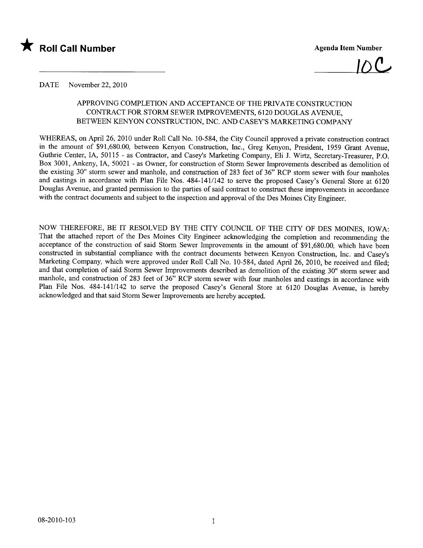

 $\mathcal{D}(\mathcal{L})$ 

### DATE November 22, 2010

# APPROVING COMPLETION AND ACCEPTANCE OF THE PRIVATE CONSTRUCTION CONTRACT FOR STORM SEWER IMPROVEMENTS, 6120 DOUGLAS AVENUE, BETWEEN KENYON CONSTRUCTION, INC. AND CASEY'S MARKETING COMPANY

WHEREAS, on April 26, 2010 under Roll Call No. 10-584, the City Council approved a private construction contract in the amount of \$91,680.00, between Kenyon Construction, Inc., Greg Kenyon, President, 1959 Grant Avenue, Guthrie Center, IA, 50115 - as Contractor, and Casey's Marketing Company, Eli J. Wirtz, Secretary-Treasurer, P.O. Box 3001, Ankeny, lA, 50021 - as Owner, for construction of Storm Sewer Improvements described as demolition of the existing 30" storm sewer and manhole, and construction of 283 feet of 36" RCP storm sewer with four manholes and castings in accordance with Plan File Nos. 484-141/142 to serve the proposed Casey's General Store at 6120 Douglas Avenue, and granted permission to the parties of said contract to construct these improvements in accordance with the contract documents and subject to the inspection and approval of the Des Moines City Engineer.

NOW THEREFORE, BE IT RESOLVED BY THE CITY COUNCIL OF THE CITY OF DES MOINES, IOWA: That the attached report of the Des Moines City Engineer acknowledging the completion and recommending the acceptance of the construction of said Storm Sewer Improvements in the amount of \$91,680.00, which have been constructed in substantial compliance with the contract documents between Kenyon Construction, Inc. and Casey's Marketing Company, which were approved under Roll Call No. 10-584, dated April 26, 2010, be received and fied; and that completion of said Storm Sewer Improvements described as demolition of the existing 30" storm sewer and manhole, and construction of 283 feet of 36" RCP storm sewer with four manholes and castings in accordance with Plan File Nos. 484-141/142 to serve the proposed Casey's General Store at 6120 Douglas Avenue, is hereby acknowledged and that said Storm Sewer Improvements are hereby accepted.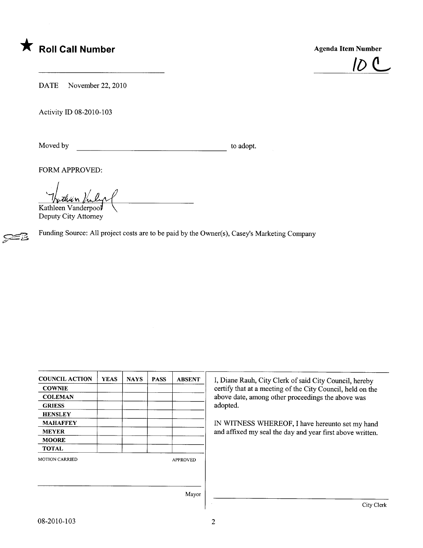



DATE November 22, 2010

Activity ID 08-2010-103

Moved by to adopt.

7

FORM APPROVED:

Vathun Valy  $\overline{\phantom{a}}$ Kathleen Vanderpool

Deputy City Attorney

Funding Source: All project costs are to be paid by the Owner(s), Casey's Marketing Company

| <b>COUNCIL ACTION</b> | <b>YEAS</b> | <b>NAYS</b> | <b>PASS</b> | <b>ABSENT</b>   | I, Diane Rauh, City Clerk of said City Council, hereby     |  |  |  |  |
|-----------------------|-------------|-------------|-------------|-----------------|------------------------------------------------------------|--|--|--|--|
| <b>COWNIE</b>         |             |             |             |                 | certify that at a meeting of the City Council, held on the |  |  |  |  |
| <b>COLEMAN</b>        |             |             |             |                 | above date, among other proceedings the above was          |  |  |  |  |
| <b>GRIESS</b>         |             |             |             |                 | adopted.                                                   |  |  |  |  |
| <b>HENSLEY</b>        |             |             |             |                 |                                                            |  |  |  |  |
| <b>MAHAFFEY</b>       |             |             |             |                 | IN WITNESS WHEREOF, I have hereunto set my hand            |  |  |  |  |
| <b>MEYER</b>          |             |             |             |                 | and affixed my seal the day and year first above written.  |  |  |  |  |
| <b>MOORE</b>          |             |             |             |                 |                                                            |  |  |  |  |
| <b>TOTAL</b>          |             |             |             |                 |                                                            |  |  |  |  |
| <b>MOTION CARRIED</b> |             |             |             | <b>APPROVED</b> |                                                            |  |  |  |  |
|                       |             |             |             |                 |                                                            |  |  |  |  |
|                       |             |             |             |                 |                                                            |  |  |  |  |
|                       |             |             |             | Mayor           |                                                            |  |  |  |  |
|                       |             |             |             |                 | City Clerk                                                 |  |  |  |  |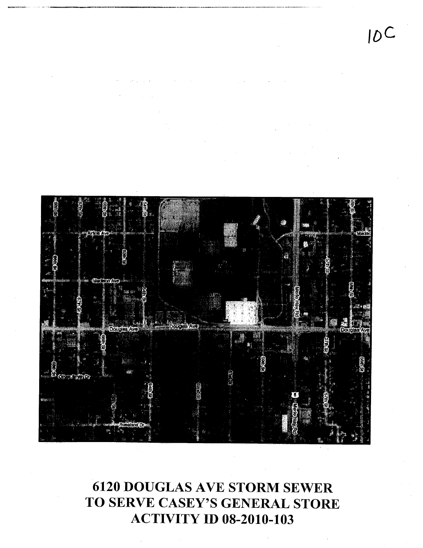IDC



6120 DOUGLAS AVE STORM SEWER TO SERVE CASEY'S GENERAL STORE ACTIVITY ID 08-2010-103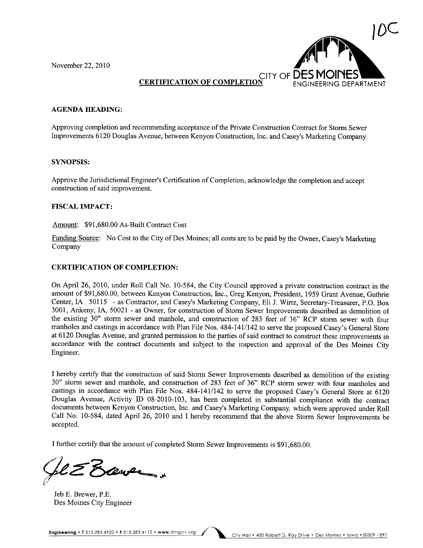November 22,2010



## **CERTIFICATION OF COMPLETIO**

#### AGENDA HEADING:

Approving completion and recommending acceptance of the Private Construction Contract for Storm Sewer Improvements 6120 Douglas Avenue, between Kenyon Construction, Inc. and Casey's Marketing Company.

#### SYNOPSIS:

Approve the Jurisdictional Engineer's Certification of Completion, acknowledge the completion and accept construction of said improvement.

#### FISCAL IMPACT:

Amount: \$91,680.00 As-Built Contract Cost

Funding Source: No Cost to the City of Des Moines; all costs are to be paid by the Owner, Casey's Marketing Company

#### CERTIFICATION OF COMPLETION:

On April 26, 2010, under Roll Call No. 10-584, the City Council approved a private construction contract in the amount of \$91,680.00, between Kenyon Construction, Inc., Greg Kenyon, President, 1959 Grant Avenue, Guthre Center,IA 50115 - as Contractor, and Casey's Marketing Company, Eli J. Wirtz, Secretary-Treasurer, P.O. Box 3001, Ankeny, lA, 50021 - as Owner, for construction of Storm Sewer Improvements described as demolition of the existing 30" storm sewer and manhole, and construction of 283 feet of 36" RCP storm sewer with four manholes and castings in accordance with Plan File Nos. 484-141/142 to serve the proposed Casey's General Store at 6120 Douglas Avenue, and granted permission to the parties of said contract to construct these improvements in accordance with the contract documents and subject to the inspection and approval of the Des Moines City Engineer.

I hereby certify that the construction of said Storm Sewer Improvements described as demolition of the existing 30" storm sewer and manhole, and construction of 283 feet of 36" RCP storm sewer with four manholes and castings in accordance with Plan File Nos. 484-141/142 to serve the proposed Casey's General Store at 6120 Douglas Avenue, Activity ID 08-2010-103, has been completed in substantial compliance with the contract documents between Kenyon Construction, Inc. and Casey's Marketing Company, which were approved under Roll Call No. 10-584, dated April 26, 2010 and I hereby recommend that the above Storm Sewer Improvements be accepted.

I further certify that the amount of completed Storm Sewer Improvements is \$91,680.00.

 $600 -$ 

Jeb E. Brewer, P.E. Des Moines City Engineer